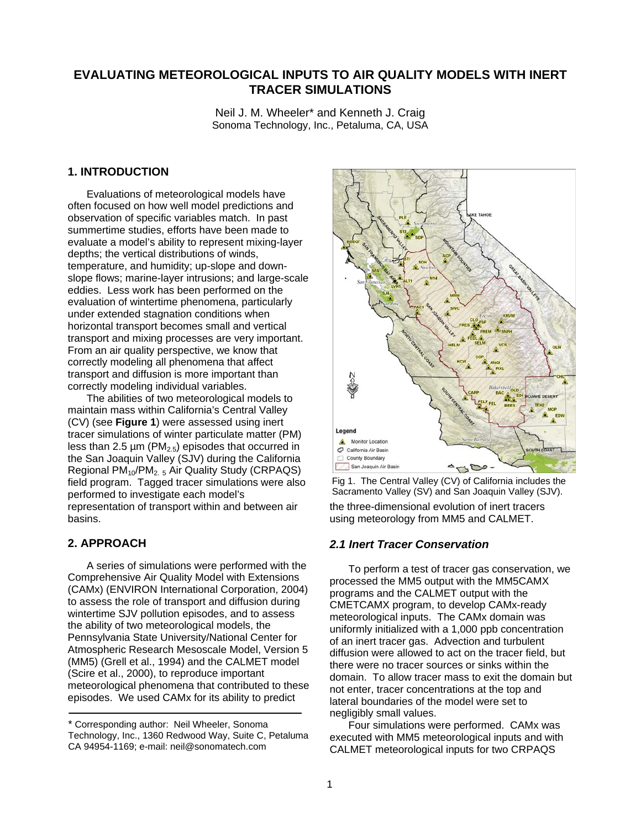# **EVALUATING METEOROLOGICAL INPUTS TO AIR QUALITY MODELS WITH INERT TRACER SIMULATIONS**

Neil J. M. Wheeler\* and Kenneth J. Craig Sonoma Technology, Inc., Petaluma, CA, USA

### **1. INTRODUCTION**

Evaluations of meteorological models have often focused on how well model predictions and observation of specific variables match. In past summertime studies, efforts have been made to evaluate a model's ability to represent mixing-layer depths; the vertical distributions of winds, temperature, and humidity; up-slope and downslope flows; marine-layer intrusions; and large-scale eddies. Less work has been performed on the evaluation of wintertime phenomena, particularly under extended stagnation conditions when horizontal transport becomes small and vertical transport and mixing processes are very important. From an air quality perspective, we know that correctly modeling all phenomena that affect transport and diffusion is more important than correctly modeling individual variables.

The abilities of two meteorological models to maintain mass within California's Central Valley (CV) (see **Figure 1**) were assessed using inert tracer simulations of winter particulate matter (PM) less than 2.5  $\mu$ m (PM<sub>2.5</sub>) episodes that occurred in the San Joaquin Valley (SJV) during the California Regional PM<sub>10</sub>/PM<sub>2.5</sub> Air Quality Study (CRPAQS) field program. Tagged tracer simulations were also performed to investigate each model's representation of transport within and between air basins.

# **2. APPROACH**

A series of simulations were performed with the Comprehensive Air Quality Model with Extensions (CAMx) (ENVIRON International Corporation, 2004) to assess the role of transport and diffusion during wintertime SJV pollution episodes, and to assess the ability of two meteorological models, the Pennsylvania State University/National Center for Atmospheric Research Mesoscale Model, Version 5 (MM5) (Grell et al., 1994) and the CALMET model (Scire et al., 2000), to reproduce important meteorological phenomena that contributed to these episodes. We used CAMx for its ability to predict



Fig 1. The Central Valley (CV) of California includes the Sacramento Valley (SV) and San Joaquin Valley (SJV).

the three-dimensional evolution of inert tracers using meteorology from MM5 and CALMET.

### *2.1 Inert Tracer Conservation*

To perform a test of tracer gas conservation, we processed the MM5 output with the MM5CAMX programs and the CALMET output with the CMETCAMX program, to develop CAMx-ready meteorological inputs. The CAMx domain was uniformly initialized with a 1,000 ppb concentration of an inert tracer gas. Advection and turbulent diffusion were allowed to act on the tracer field, but there were no tracer sources or sinks within the domain. To allow tracer mass to exit the domain but not enter, tracer concentrations at the top and lateral boundaries of the model were set to negligibly small values.

Four simulations were performed. CAMx was executed with MM5 meteorological inputs and with CALMET meteorological inputs for two CRPAQS

<sup>\*</sup> Corresponding author: Neil Wheeler, Sonoma Technology, Inc., 1360 Redwood Way, Suite C, Petaluma CA 94954-1169; e-mail: neil@sonomatech.com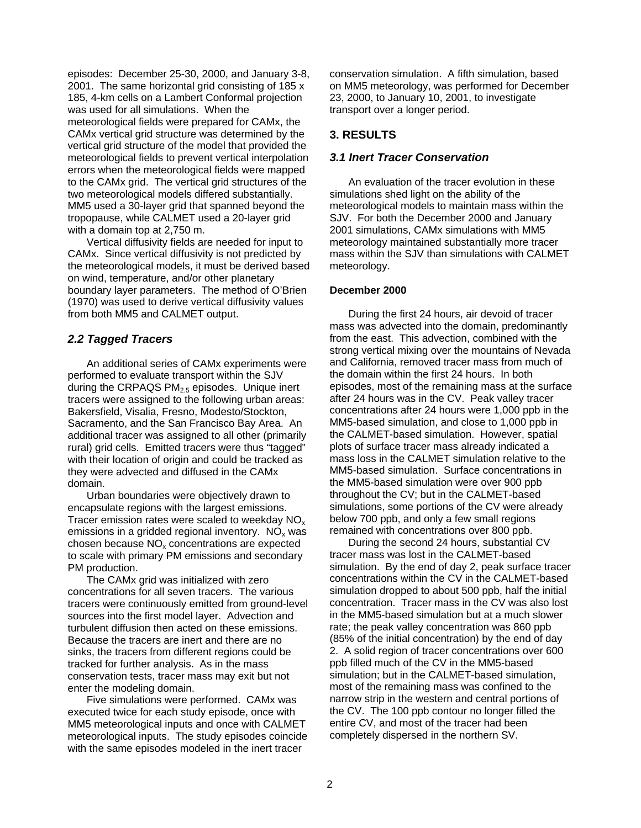episodes: December 25-30, 2000, and January 3-8, 2001. The same horizontal grid consisting of 185 x 185, 4-km cells on a Lambert Conformal projection was used for all simulations. When the meteorological fields were prepared for CAMx, the CAMx vertical grid structure was determined by the vertical grid structure of the model that provided the meteorological fields to prevent vertical interpolation errors when the meteorological fields were mapped to the CAMx grid. The vertical grid structures of the two meteorological models differed substantially. MM5 used a 30-layer grid that spanned beyond the tropopause, while CALMET used a 20-layer grid with a domain top at 2,750 m.

Vertical diffusivity fields are needed for input to CAMx. Since vertical diffusivity is not predicted by the meteorological models, it must be derived based on wind, temperature, and/or other planetary boundary layer parameters. The method of O'Brien (1970) was used to derive vertical diffusivity values from both MM5 and CALMET output.

### *2.2 Tagged Tracers*

An additional series of CAMx experiments were performed to evaluate transport within the SJV during the CRPAQS  $PM<sub>2.5</sub>$  episodes. Unique inert tracers were assigned to the following urban areas: Bakersfield, Visalia, Fresno, Modesto/Stockton, Sacramento, and the San Francisco Bay Area. An additional tracer was assigned to all other (primarily rural) grid cells. Emitted tracers were thus "tagged" with their location of origin and could be tracked as they were advected and diffused in the CAMx domain.

Urban boundaries were objectively drawn to encapsulate regions with the largest emissions. Tracer emission rates were scaled to weekday  $NO<sub>x</sub>$ emissions in a gridded regional inventory.  $NO<sub>x</sub>$  was chosen because  $NO<sub>x</sub>$  concentrations are expected to scale with primary PM emissions and secondary PM production.

The CAMx grid was initialized with zero concentrations for all seven tracers. The various tracers were continuously emitted from ground-level sources into the first model layer. Advection and turbulent diffusion then acted on these emissions. Because the tracers are inert and there are no sinks, the tracers from different regions could be tracked for further analysis. As in the mass conservation tests, tracer mass may exit but not enter the modeling domain.

Five simulations were performed. CAMx was executed twice for each study episode, once with MM5 meteorological inputs and once with CALMET meteorological inputs. The study episodes coincide with the same episodes modeled in the inert tracer

conservation simulation. A fifth simulation, based on MM5 meteorology, was performed for December 23, 2000, to January 10, 2001, to investigate transport over a longer period.

## **3. RESULTS**

# *3.1 Inert Tracer Conservation*

An evaluation of the tracer evolution in these simulations shed light on the ability of the meteorological models to maintain mass within the SJV. For both the December 2000 and January 2001 simulations, CAMx simulations with MM5 meteorology maintained substantially more tracer mass within the SJV than simulations with CALMET meteorology.

#### **December 2000**

During the first 24 hours, air devoid of tracer mass was advected into the domain, predominantly from the east. This advection, combined with the strong vertical mixing over the mountains of Nevada and California, removed tracer mass from much of the domain within the first 24 hours. In both episodes, most of the remaining mass at the surface after 24 hours was in the CV. Peak valley tracer concentrations after 24 hours were 1,000 ppb in the MM5-based simulation, and close to 1,000 ppb in the CALMET-based simulation. However, spatial plots of surface tracer mass already indicated a mass loss in the CALMET simulation relative to the MM5-based simulation. Surface concentrations in the MM5-based simulation were over 900 ppb throughout the CV; but in the CALMET-based simulations, some portions of the CV were already below 700 ppb, and only a few small regions remained with concentrations over 800 ppb.

During the second 24 hours, substantial CV tracer mass was lost in the CALMET-based simulation. By the end of day 2, peak surface tracer concentrations within the CV in the CALMET-based simulation dropped to about 500 ppb, half the initial concentration. Tracer mass in the CV was also lost in the MM5-based simulation but at a much slower rate; the peak valley concentration was 860 ppb (85% of the initial concentration) by the end of day 2. A solid region of tracer concentrations over 600 ppb filled much of the CV in the MM5-based simulation; but in the CALMET-based simulation, most of the remaining mass was confined to the narrow strip in the western and central portions of the CV. The 100 ppb contour no longer filled the entire CV, and most of the tracer had been completely dispersed in the northern SV.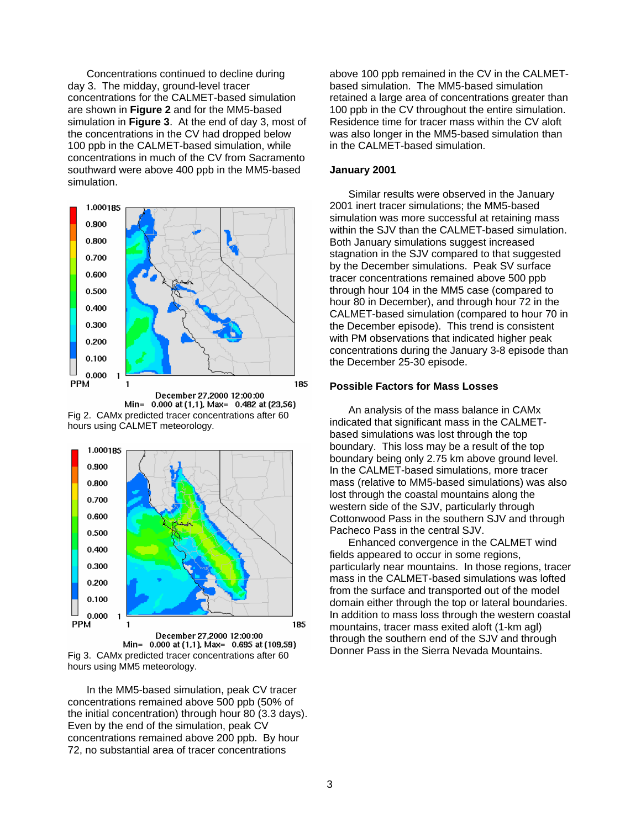Concentrations continued to decline during day 3. The midday, ground-level tracer concentrations for the CALMET-based simulation are shown in **Figure 2** and for the MM5-based simulation in **Figure 3**. At the end of day 3, most of the concentrations in the CV had dropped below 100 ppb in the CALMET-based simulation, while concentrations in much of the CV from Sacramento southward were above 400 ppb in the MM5-based simulation.



Min= 0.000 at (1,1), Max= 0.482 at (23,56) Fig 2. CAMx predicted tracer concentrations after 60 hours using CALMET meteorology.



December 27,2000 12:00:00 Min= 0.000 at (1,1), Max= 0.695 at (109,59) Fig 3. CAMx predicted tracer concentrations after 60 hours using MM5 meteorology.

In the MM5-based simulation, peak CV tracer concentrations remained above 500 ppb (50% of the initial concentration) through hour 80 (3.3 days). Even by the end of the simulation, peak CV concentrations remained above 200 ppb. By hour 72, no substantial area of tracer concentrations

above 100 ppb remained in the CV in the CALMETbased simulation. The MM5-based simulation retained a large area of concentrations greater than 100 ppb in the CV throughout the entire simulation. Residence time for tracer mass within the CV aloft was also longer in the MM5-based simulation than in the CALMET-based simulation.

### **January 2001**

Similar results were observed in the January 2001 inert tracer simulations; the MM5-based simulation was more successful at retaining mass within the SJV than the CALMET-based simulation. Both January simulations suggest increased stagnation in the SJV compared to that suggested by the December simulations. Peak SV surface tracer concentrations remained above 500 ppb through hour 104 in the MM5 case (compared to hour 80 in December), and through hour 72 in the CALMET-based simulation (compared to hour 70 in the December episode). This trend is consistent with PM observations that indicated higher peak concentrations during the January 3-8 episode than the December 25-30 episode.

#### **Possible Factors for Mass Losses**

An analysis of the mass balance in CAMx indicated that significant mass in the CALMETbased simulations was lost through the top boundary. This loss may be a result of the top boundary being only 2.75 km above ground level. In the CALMET-based simulations, more tracer mass (relative to MM5-based simulations) was also lost through the coastal mountains along the western side of the SJV, particularly through Cottonwood Pass in the southern SJV and through Pacheco Pass in the central SJV.

Enhanced convergence in the CALMET wind fields appeared to occur in some regions, particularly near mountains. In those regions, tracer mass in the CALMET-based simulations was lofted from the surface and transported out of the model domain either through the top or lateral boundaries. In addition to mass loss through the western coastal mountains, tracer mass exited aloft (1-km agl) through the southern end of the SJV and through Donner Pass in the Sierra Nevada Mountains.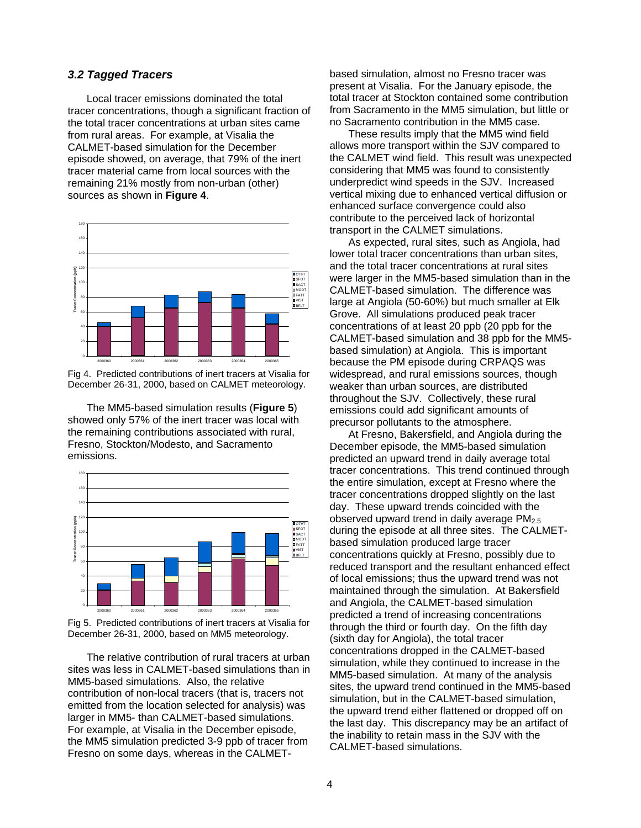# *3.2 Tagged Tracers*

Local tracer emissions dominated the total tracer concentrations, though a significant fraction of the total tracer concentrations at urban sites came from rural areas. For example, at Visalia the CALMET-based simulation for the December episode showed, on average, that 79% of the inert tracer material came from local sources with the remaining 21% mostly from non-urban (other) sources as shown in **Figure 4**.



Fig 4. Predicted contributions of inert tracers at Visalia for December 26-31, 2000, based on CALMET meteorology.

The MM5-based simulation results (**Figure 5**) showed only 57% of the inert tracer was local with the remaining contributions associated with rural, Fresno, Stockton/Modesto, and Sacramento emissions.



Fig 5. Predicted contributions of inert tracers at Visalia for December 26-31, 2000, based on MM5 meteorology.

The relative contribution of rural tracers at urban sites was less in CALMET-based simulations than in MM5-based simulations. Also, the relative contribution of non-local tracers (that is, tracers not emitted from the location selected for analysis) was larger in MM5- than CALMET-based simulations. For example, at Visalia in the December episode, the MM5 simulation predicted 3-9 ppb of tracer from Fresno on some days, whereas in the CALMET-

based simulation, almost no Fresno tracer was present at Visalia. For the January episode, the total tracer at Stockton contained some contribution from Sacramento in the MM5 simulation, but little or no Sacramento contribution in the MM5 case.

These results imply that the MM5 wind field allows more transport within the SJV compared to the CALMET wind field. This result was unexpected considering that MM5 was found to consistently underpredict wind speeds in the SJV. Increased vertical mixing due to enhanced vertical diffusion or enhanced surface convergence could also contribute to the perceived lack of horizontal transport in the CALMET simulations.

As expected, rural sites, such as Angiola, had lower total tracer concentrations than urban sites, and the total tracer concentrations at rural sites were larger in the MM5-based simulation than in the CALMET-based simulation. The difference was large at Angiola (50-60%) but much smaller at Elk Grove. All simulations produced peak tracer concentrations of at least 20 ppb (20 ppb for the CALMET-based simulation and 38 ppb for the MM5 based simulation) at Angiola. This is important because the PM episode during CRPAQS was widespread, and rural emissions sources, though weaker than urban sources, are distributed throughout the SJV. Collectively, these rural emissions could add significant amounts of precursor pollutants to the atmosphere.

At Fresno, Bakersfield, and Angiola during the December episode, the MM5-based simulation predicted an upward trend in daily average total tracer concentrations. This trend continued through the entire simulation, except at Fresno where the tracer concentrations dropped slightly on the last day. These upward trends coincided with the observed upward trend in daily average  $PM<sub>2.5</sub>$ during the episode at all three sites. The CALMETbased simulation produced large tracer concentrations quickly at Fresno, possibly due to reduced transport and the resultant enhanced effect of local emissions; thus the upward trend was not maintained through the simulation. At Bakersfield and Angiola, the CALMET-based simulation predicted a trend of increasing concentrations through the third or fourth day. On the fifth day (sixth day for Angiola), the total tracer concentrations dropped in the CALMET-based simulation, while they continued to increase in the MM5-based simulation. At many of the analysis sites, the upward trend continued in the MM5-based simulation, but in the CALMET-based simulation, the upward trend either flattened or dropped off on the last day. This discrepancy may be an artifact of the inability to retain mass in the SJV with the CALMET-based simulations.